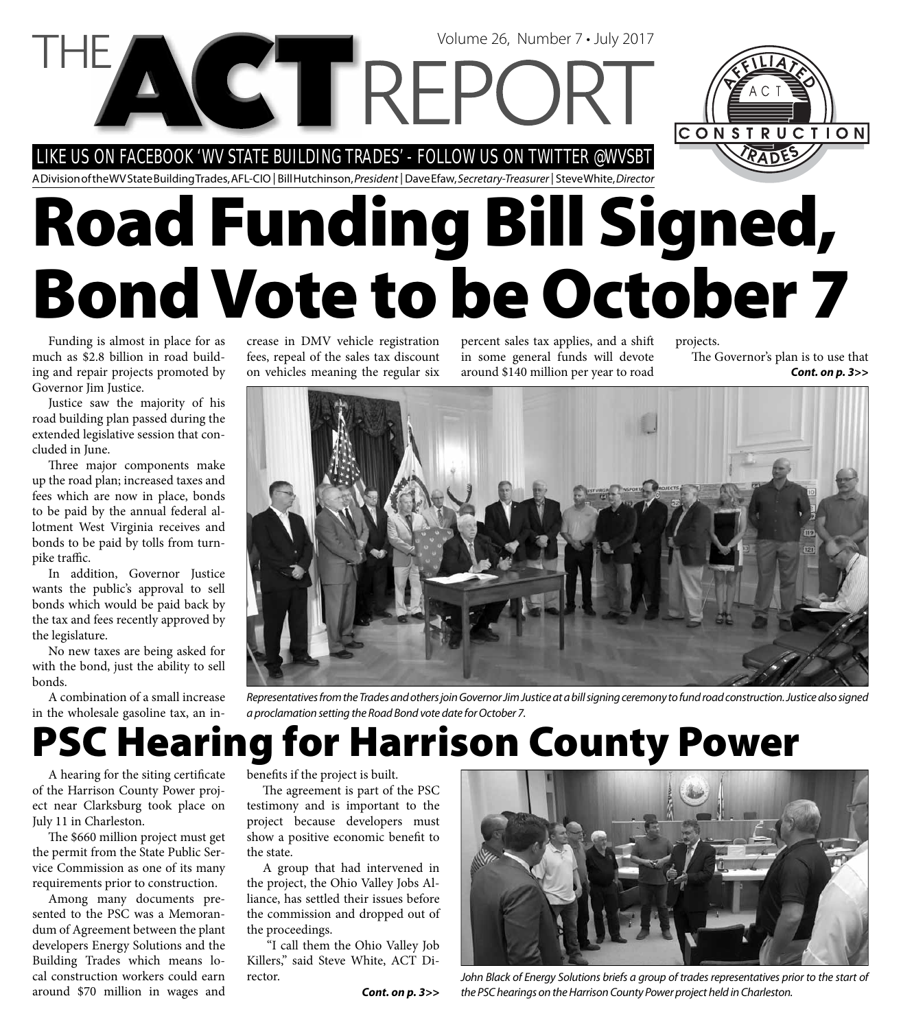### LIKE US ON FACEBOOK 'WV STATE BUILDING TRADES' - FOLLOW US ON TWITTER @WVSBT

A Division of the WV State Building Trades, AFL-CIO | Bill Hutchinson, President | Dave Efaw, Secretary-Treasurer | Steve White, Director

# **Road Funding Bill Signed, Bond Vote to be October 7**

Volume 26, Number 7 • July 2017

Funding is almost in place for as much as \$2.8 billion in road building and repair projects promoted by Governor Jim Justice.

Justice saw the majority of his road building plan passed during the extended legislative session that concluded in June.

Three major components make up the road plan; increased taxes and fees which are now in place, bonds to be paid by the annual federal allotment West Virginia receives and bonds to be paid by tolls from turnpike traffic.

In addition, Governor Justice wants the public's approval to sell bonds which would be paid back by the tax and fees recently approved by the legislature.

No new taxes are being asked for with the bond, just the ability to sell bonds.

A combination of a small increase in the wholesale gasoline tax, an increase in DMV vehicle registration fees, repeal of the sales tax discount on vehicles meaning the regular six

percent sales tax applies, and a shift in some general funds will devote around \$140 million per year to road

projects. The Governor's plan is to use that *Cont. on p. 3>>*

CONSTRUCTION



Representatives from the Trades and others join Governor Jim Justice at a bill signing ceremony to fund road construction. Justice also signed a proclamation setting the Road Bond vote date for October 7.

## **PSC Hearing for Harrison County Power**

A hearing for the siting certificate of the Harrison County Power project near Clarksburg took place on July 11 in Charleston.

The \$660 million project must get the permit from the State Public Service Commission as one of its many requirements prior to construction.

Among many documents presented to the PSC was a Memorandum of Agreement between the plant developers Energy Solutions and the Building Trades which means local construction workers could earn around \$70 million in wages and

benefits if the project is built.

The agreement is part of the PSC testimony and is important to the project because developers must show a positive economic benefit to the state.

A group that had intervened in the project, the Ohio Valley Jobs Alliance, has settled their issues before the commission and dropped out of the proceedings.

 "I call them the Ohio Valley Job Killers," said Steve White, ACT Director.



John Black of Energy Solutions briefs a group of trades representatives prior to the start of **Cont. on p. 3>>** the PSC hearings on the Harrison County Power project held in Charleston.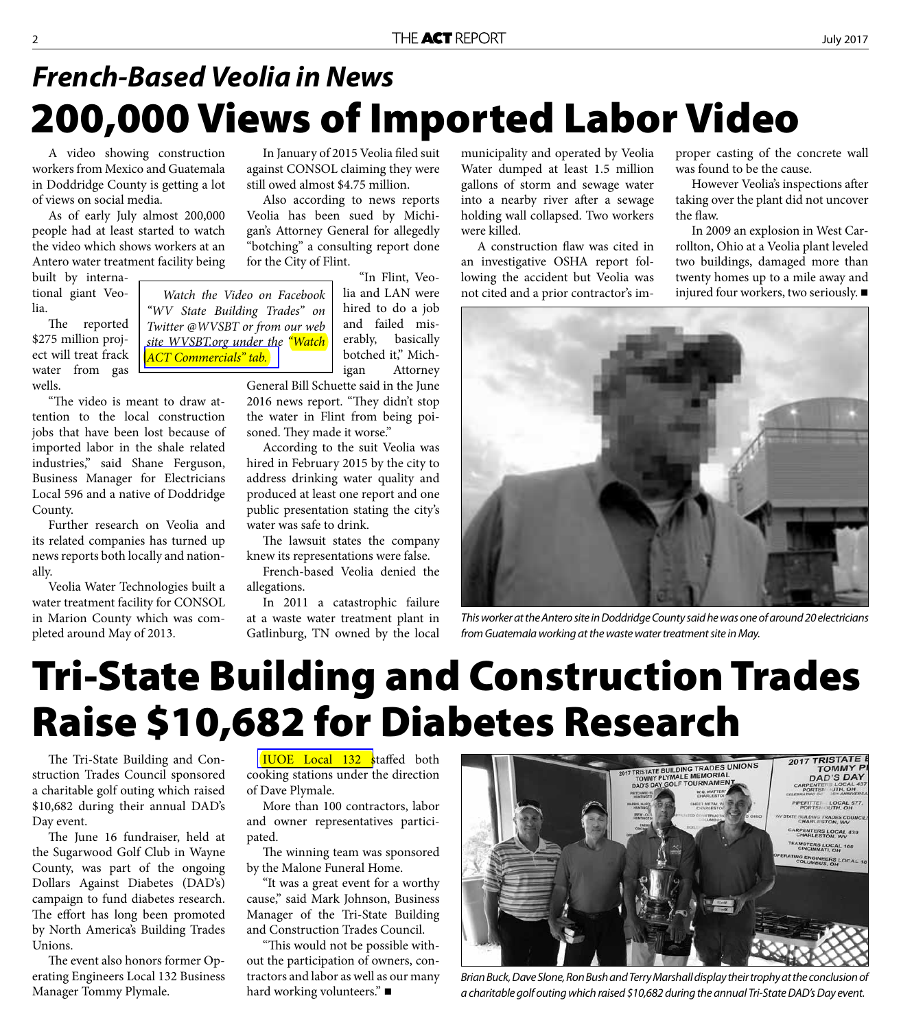### **200,000 Views of Imported Labor Video** *French-Based Veolia in News*

A video showing construction workers from Mexico and Guatemala in Doddridge County is getting a lot of views on social media.

As of early July almost 200,000 people had at least started to watch the video which shows workers at an Antero water treatment facility being

built by international giant Veolia.

The reported \$275 million project will treat frack water from gas wells.

"The video is meant to draw attention to the local construction jobs that have been lost because of imported labor in the shale related industries," said Shane Ferguson, Business Manager for Electricians Local 596 and a native of Doddridge County.

Further research on Veolia and its related companies has turned up news reports both locally and nationally.

Veolia Water Technologies built a water treatment facility for CONSOL in Marion County which was completed around May of 2013.

In January of 2015 Veolia filed suit against CONSOL claiming they were still owed almost \$4.75 million.

Also according to news reports Veolia has been sued by Michigan's Attorney General for allegedly "botching" a consulting report done for the City of Flint.

*Watch the Video on Facebook "WV State Building Trades" on Twitter @WVSBT or from our web site WVSBT.org under the "Watch* 

*[ACT Commercials" tab.](http://www.actwv.org/commercials)*

"In Flint, Veolia and LAN were hired to do a job and failed miserably, basically botched it," Michigan Attorney

General Bill Schuette said in the June 2016 news report. "They didn't stop the water in Flint from being poisoned. They made it worse."

According to the suit Veolia was hired in February 2015 by the city to address drinking water quality and produced at least one report and one public presentation stating the city's water was safe to drink.

The lawsuit states the company knew its representations were false.

French-based Veolia denied the allegations.

In 2011 a catastrophic failure at a waste water treatment plant in Gatlinburg, TN owned by the local

municipality and operated by Veolia Water dumped at least 1.5 million gallons of storm and sewage water into a nearby river after a sewage holding wall collapsed. Two workers were killed.

A construction flaw was cited in an investigative OSHA report following the accident but Veolia was not cited and a prior contractor's improper casting of the concrete wall was found to be the cause.

However Veolia's inspections after taking over the plant did not uncover the flaw.

In 2009 an explosion in West Carrollton, Ohio at a Veolia plant leveled two buildings, damaged more than twenty homes up to a mile away and injured four workers, two seriously.



This worker at the Antero site in Doddridge County said he was one of around 20 electricians from Guatemala working at the waste water treatment site in May.

### **Tri-State Building and Construction Trades Raise \$10,682 for Diabetes Research**

The Tri-State Building and Construction Trades Council sponsored a charitable golf outing which raised \$10,682 during their annual DAD's Day event.

The June 16 fundraiser, held at the Sugarwood Golf Club in Wayne County, was part of the ongoing Dollars Against Diabetes (DAD's) campaign to fund diabetes research. The effort has long been promoted by North America's Building Trades Unions.

The event also honors former Operating Engineers Local 132 Business Manager Tommy Plymale.

**IUOE** Local 132 staffed both cooking stations under the direction of Dave Plymale.

More than 100 contractors, labor and owner representatives participated.

The winning team was sponsored by the Malone Funeral Home.

"It was a great event for a worthy cause," said Mark Johnson, Business Manager of the Tri-State Building and Construction Trades Council.

"This would not be possible without the participation of owners, contractors and labor as well as our many hard working volunteers."



Brian Buck, Dave Slone, Ron Bush and Terry Marshall display their trophy at the conclusion of a charitable golf outing which raised \$10,682 during the annual Tri-State DAD's Day event.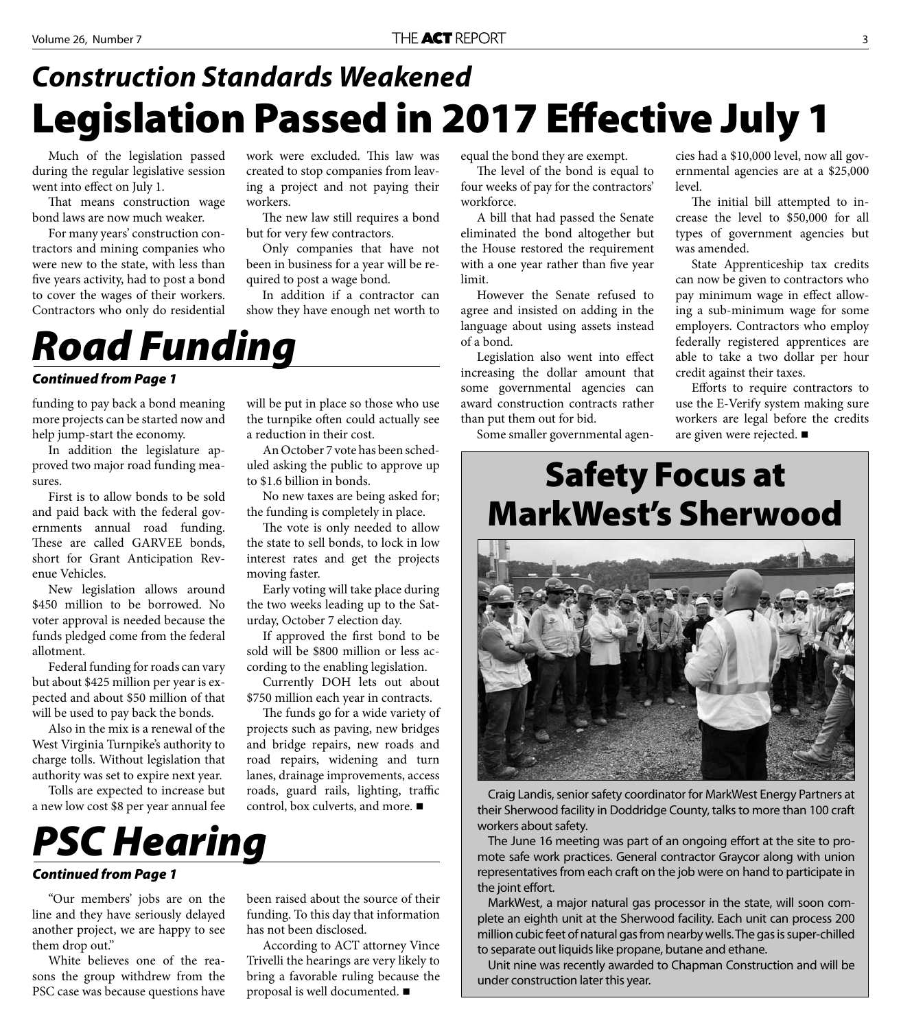### **Legislation Passed in 2017 Effective July 1** *Construction Standards Weakened*

Much of the legislation passed during the regular legislative session went into effect on July 1.

That means construction wage bond laws are now much weaker.

For many years' construction contractors and mining companies who were new to the state, with less than five years activity, had to post a bond to cover the wages of their workers. Contractors who only do residential

work were excluded. This law was created to stop companies from leaving a project and not paying their workers.

The new law still requires a bond but for very few contractors.

Only companies that have not been in business for a year will be required to post a wage bond.

In addition if a contractor can show they have enough net worth to

### *Road Funding*

#### *Continued from Page 1*

funding to pay back a bond meaning more projects can be started now and help jump-start the economy.

In addition the legislature approved two major road funding measures.

First is to allow bonds to be sold and paid back with the federal governments annual road funding. These are called GARVEE bonds, short for Grant Anticipation Revenue Vehicles.

New legislation allows around \$450 million to be borrowed. No voter approval is needed because the funds pledged come from the federal allotment.

Federal funding for roads can vary but about \$425 million per year is expected and about \$50 million of that will be used to pay back the bonds.

Also in the mix is a renewal of the West Virginia Turnpike's authority to charge tolls. Without legislation that authority was set to expire next year.

Tolls are expected to increase but a new low cost \$8 per year annual fee will be put in place so those who use the turnpike often could actually see a reduction in their cost.

An October 7 vote has been scheduled asking the public to approve up to \$1.6 billion in bonds.

No new taxes are being asked for; the funding is completely in place.

The vote is only needed to allow the state to sell bonds, to lock in low interest rates and get the projects moving faster.

Early voting will take place during the two weeks leading up to the Saturday, October 7 election day.

If approved the first bond to be sold will be \$800 million or less according to the enabling legislation.

Currently DOH lets out about \$750 million each year in contracts.

The funds go for a wide variety of projects such as paving, new bridges and bridge repairs, new roads and road repairs, widening and turn lanes, drainage improvements, access roads, guard rails, lighting, traffic control, box culverts, and more.



#### *Continued from Page 1*

"Our members' jobs are on the line and they have seriously delayed another project, we are happy to see them drop out."

White believes one of the reasons the group withdrew from the PSC case was because questions have

been raised about the source of their funding. To this day that information has not been disclosed.

According to ACT attorney Vince Trivelli the hearings are very likely to bring a favorable ruling because the proposal is well documented.

equal the bond they are exempt.

The level of the bond is equal to four weeks of pay for the contractors' workforce.

A bill that had passed the Senate eliminated the bond altogether but the House restored the requirement with a one year rather than five year limit.

However the Senate refused to agree and insisted on adding in the language about using assets instead of a bond.

Legislation also went into effect increasing the dollar amount that some governmental agencies can award construction contracts rather than put them out for bid.

Some smaller governmental agen-

cies had a \$10,000 level, now all governmental agencies are at a \$25,000 level.

The initial bill attempted to increase the level to \$50,000 for all types of government agencies but was amended.

State Apprenticeship tax credits can now be given to contractors who pay minimum wage in effect allowing a sub-minimum wage for some employers. Contractors who employ federally registered apprentices are able to take a two dollar per hour credit against their taxes.

Efforts to require contractors to use the E-Verify system making sure workers are legal before the credits are given were rejected.

### **Safety Focus at MarkWest's Sherwood**



Craig Landis, senior safety coordinator for MarkWest Energy Partners at their Sherwood facility in Doddridge County, talks to more than 100 craft workers about safety.

The June 16 meeting was part of an ongoing effort at the site to promote safe work practices. General contractor Graycor along with union representatives from each craft on the job were on hand to participate in the joint effort.

MarkWest, a major natural gas processor in the state, will soon complete an eighth unit at the Sherwood facility. Each unit can process 200 million cubic feet of natural gas from nearby wells. The gas is super-chilled to separate out liquids like propane, butane and ethane.

Unit nine was recently awarded to Chapman Construction and will be under construction later this year.